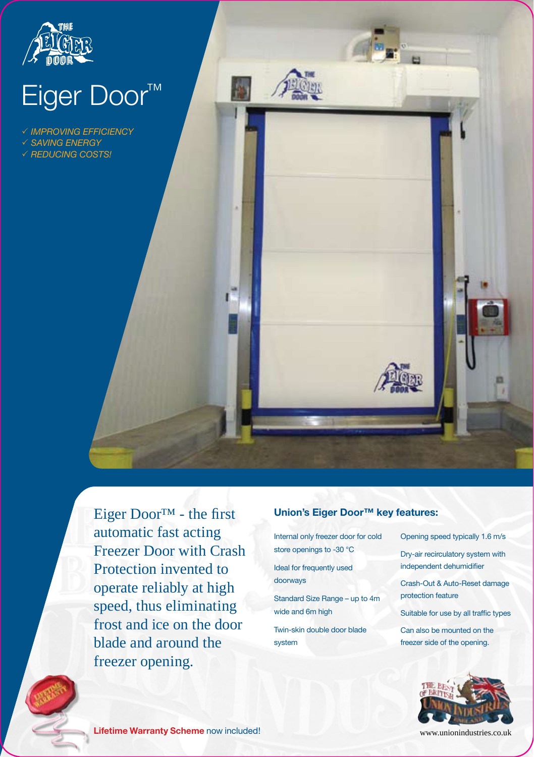

# Eiger Door™

 *Improving efficiency*

 *Saving energy*

*Reducing costs!*



Eiger Door™ - the first **Union's Eiger Door™ key features:** automatic fast acting Freezer Door with Crash Protection invented to operate reliably at high speed, thus eliminating frost and ice on the door blade and around the freezer opening.

Internal only freezer door for cold store openings to -30 °C

Ideal for frequently used doorways

Standard Size Range – up to 4m wide and 6m high

Twin-skin double door blade system

Opening speed typically 1.6 m/s

Dry-air recirculatory system with independent dehumidifier

Crash-Out & Auto-Reset damage protection feature

Suitable for use by all traffic types

Can also be mounted on the freezer side of the opening.



**Lifetime Warranty Scheme** now included!

www.unionindustries.co.uk